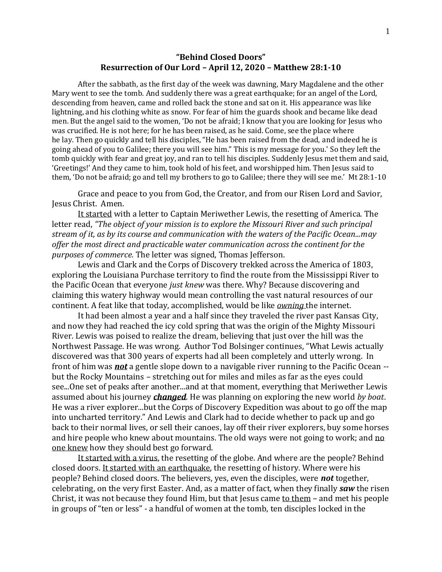## **"Behind Closed Doors" Resurrection of Our Lord – April 12, 2020 – Matthew 28:1-10**

After the sabbath, as the first day of the week was dawning, Mary Magdalene and the other Mary went to see the tomb. And suddenly there was a great earthquake; for an angel of the Lord, descending from heaven, came and rolled back the stone and sat on it. His appearance was like lightning, and his clothing white as snow. For fear of him the guards shook and became like dead men. But the angel said to the women, 'Do not be afraid; I know that you are looking for Jesus who was crucified. He is not here; for he has been raised, as he said. Come, see the place where he lay. Then go quickly and tell his disciples, "He has been raised from the dead, and indeed he is going ahead of you to Galilee; there you will see him." This is my message for you.' So they left the tomb quickly with fear and great joy, and ran to tell his disciples. Suddenly Jesus met them and said, 'Greetings!' And they came to him, took hold of his feet, and worshipped him. Then Jesus said to them, 'Do not be afraid; go and tell my brothers to go to Galilee; there they will see me.' Mt 28:1-10

Grace and peace to you from God, the Creator, and from our Risen Lord and Savior, Jesus Christ. Amen.

It started with a letter to Captain Meriwether Lewis, the resetting of America. The letter read, *"The object of your mission is to explore the Missouri River and such principal stream of it, as by its course and communication with the waters of the Pacific Ocean...may offer the most direct and practicable water communication across the continent for the purposes of commerce.* The letter was signed, Thomas Jefferson.

Lewis and Clark and the Corps of Discovery trekked across the America of 1803, exploring the Louisiana Purchase territory to find the route from the Mississippi River to the Pacific Ocean that everyone *just knew* was there. Why? Because discovering and claiming this watery highway would mean controlling the vast natural resources of our continent. A feat like that today, accomplished, would be like *owning* the internet.

It had been almost a year and a half since they traveled the river past Kansas City, and now they had reached the icy cold spring that was the origin of the Mighty Missouri River. Lewis was poised to realize the dream, believing that just over the hill was the Northwest Passage. He was wrong. Author Tod Bolsinger continues, "What Lewis actually discovered was that 300 years of experts had all been completely and utterly wrong. In front of him was *not* a gentle slope down to a navigable river running to the Pacific Ocean - but the Rocky Mountains – stretching out for miles and miles as far as the eyes could see...One set of peaks after another...and at that moment, everything that Meriwether Lewis assumed about his journey *changed*. He was planning on exploring the new world *by boat*. He was a river explorer...but the Corps of Discovery Expedition was about to go off the map into uncharted territory." And Lewis and Clark had to decide whether to pack up and go back to their normal lives, or sell their canoes, lay off their river explorers, buy some horses and hire people who knew about mountains. The old ways were not going to work; and no one knew how they should best go forward.

It started with a virus, the resetting of the globe. And where are the people? Behind closed doors. It started with an earthquake, the resetting of history. Where were his people? Behind closed doors. The believers, yes, even the disciples, were *not* together, celebrating, on the very first Easter. And, as a matter of fact, when they finally *saw* the risen Christ, it was not because they found Him, but that Jesus came to them – and met his people in groups of "ten or less" - a handful of women at the tomb, ten disciples locked in the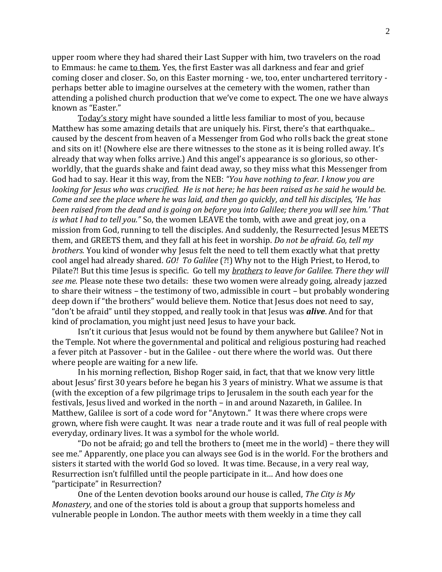upper room where they had shared their Last Supper with him, two travelers on the road to Emmaus: he came to them. Yes, the first Easter was all darkness and fear and grief coming closer and closer. So, on this Easter morning - we, too, enter unchartered territory perhaps better able to imagine ourselves at the cemetery with the women, rather than attending a polished church production that we've come to expect. The one we have always known as "Easter."

Today's story might have sounded a little less familiar to most of you, because Matthew has some amazing details that are uniquely his. First, there's that earthquake... caused by the descent from heaven of a Messenger from God who rolls back the great stone and sits on it! (Nowhere else are there witnesses to the stone as it is being rolled away. It's already that way when folks arrive.) And this angel's appearance is so glorious, so otherworldly, that the guards shake and faint dead away, so they miss what this Messenger from God had to say. Hear it this way, from the NEB: *"You have nothing to fear. I know you are looking for Jesus who was crucified. He is not here; he has been raised as he said he would be. Come and see the place where he was laid, and then go quickly, and tell his disciples, 'He has been raised from the dead and is going on before you into Galilee; there you will see him.' That is what I had to tell you."* So, the women LEAVE the tomb, with awe and great joy, on a mission from God, running to tell the disciples. And suddenly, the Resurrected Jesus MEETS them, and GREETS them, and they fall at his feet in worship. *Do not be afraid. Go, tell my brothers.* You kind of wonder why Jesus felt the need to tell them exactly what that pretty cool angel had already shared. *GO! To Galilee* (?!) Why not to the High Priest, to Herod, to Pilate?! But this time Jesus is specific. Go tell my *brothers to leave for Galilee. There they will see me.* Please note these two details: these two women were already going, already jazzed to share their witness – the testimony of two, admissible in court – but probably wondering deep down if "the brothers" would believe them. Notice that Jesus does not need to say, "don't be afraid" until they stopped, and really took in that Jesus was *alive*. And for that kind of proclamation, you might just need Jesus to have your back.

Isn't it curious that Jesus would not be found by them anywhere but Galilee? Not in the Temple. Not where the governmental and political and religious posturing had reached a fever pitch at Passover - but in the Galilee - out there where the world was. Out there where people are waiting for a new life.

In his morning reflection, Bishop Roger said, in fact, that that we know very little about Jesus' first 30 years before he began his 3 years of ministry. What we assume is that (with the exception of a few pilgrimage trips to Jerusalem in the south each year for the festivals, Jesus lived and worked in the north – in and around Nazareth, in Galilee. In Matthew, Galilee is sort of a code word for "Anytown." It was there where crops were grown, where fish were caught. It was near a trade route and it was full of real people with everyday, ordinary lives. It was a symbol for the whole world.

"Do not be afraid; go and tell the brothers to (meet me in the world) – there they will see me." Apparently, one place you can always see God is in the world. For the brothers and sisters it started with the world God so loved. It was time. Because, in a very real way, Resurrection isn't fulfilled until the people participate in it… And how does one "participate" in Resurrection?

One of the Lenten devotion books around our house is called, *The City is My Monastery,* and one of the stories told is about a group that supports homeless and vulnerable people in London. The author meets with them weekly in a time they call